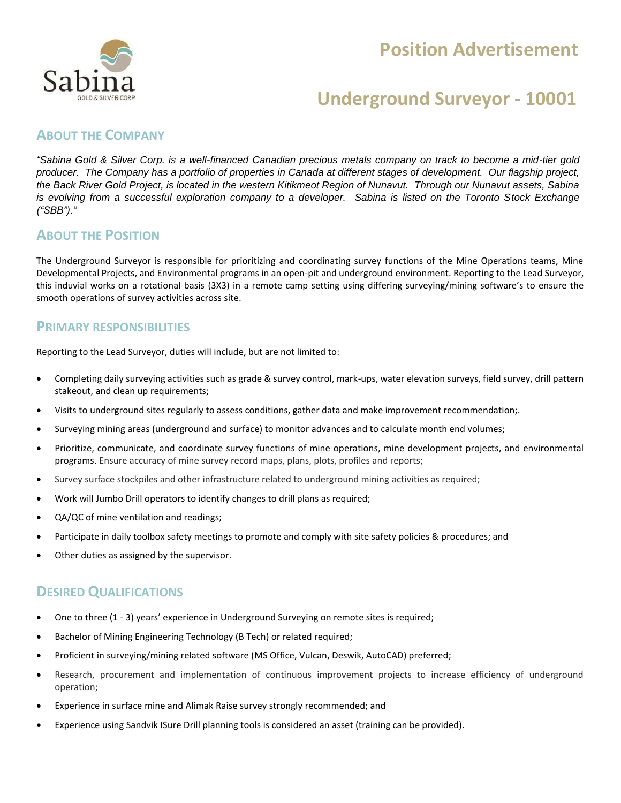### **Position Advertisement**



### **Underground Surveyor - 10001**

### **ABOUT THE COMPANY**

*"Sabina Gold & Silver Corp. is a well-financed Canadian precious metals company on track to become a mid-tier gold producer. The Company has a portfolio of properties in Canada at different stages of development. Our flagship project, the Back River Gold Project, is located in the western Kitikmeot Region of Nunavut. Through our Nunavut assets, Sabina is evolving from a successful exploration company to a developer. Sabina is listed on the Toronto Stock Exchange ("SBB")."*

### **ABOUT THE POSITION**

The Underground Surveyor is responsible for prioritizing and coordinating survey functions of the Mine Operations teams, Mine Developmental Projects, and Environmental programs in an open-pit and underground environment. Reporting to the Lead Surveyor, this induvial works on a rotational basis (3X3) in a remote camp setting using differing surveying/mining software's to ensure the smooth operations of survey activities across site.

#### **PRIMARY RESPONSIBILITIES**

Reporting to the Lead Surveyor, duties will include, but are not limited to:

- Completing daily surveying activities such as grade & survey control, mark-ups, water elevation surveys, field survey, drill pattern stakeout, and clean up requirements;
- Visits to underground sites regularly to assess conditions, gather data and make improvement recommendation;.
- Surveying mining areas (underground and surface) to monitor advances and to calculate month end volumes;
- Prioritize, communicate, and coordinate survey functions of mine operations, mine development projects, and environmental programs. Ensure accuracy of mine survey record maps, plans, plots, profiles and reports;
- Survey surface stockpiles and other infrastructure related to underground mining activities as required;
- Work will Jumbo Drill operators to identify changes to drill plans as required;
- QA/QC of mine ventilation and readings;
- Participate in daily toolbox safety meetings to promote and comply with site safety policies & procedures; and
- Other duties as assigned by the supervisor.

### **DESIRED QUALIFICATIONS**

- One to three (1 3) years' experience in Underground Surveying on remote sites is required;
- Bachelor of Mining Engineering Technology (B Tech) or related required;
- Proficient in surveying/mining related software (MS Office, Vulcan, Deswik, AutoCAD) preferred;
- Research, procurement and implementation of continuous improvement projects to increase efficiency of underground operation;
- Experience in surface mine and Alimak Raise survey strongly recommended; and
- Experience using Sandvik ISure Drill planning tools is considered an asset (training can be provided).